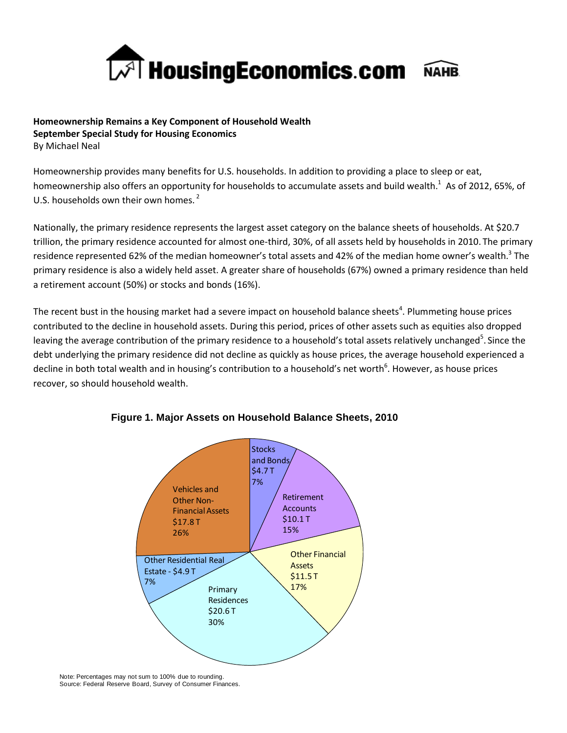

**Homeownership Remains a Key Component of Household Wealth September Special Study for Housing Economics** By Michael Neal

Homeownership provides many benefits for U.S. households. In addition to providing a place to sleep or eat, homeownership also offers an opportunity for households to accumulate assets and build wealth.<sup>1</sup> As of 2012, 65%, of U.S. households own their own homes.<sup>2</sup>

Nationally, the primary residence represents the largest asset category on the balance sheets of households. At \$20.7 trillion, the primary residence accounted for almost one-third, 30%, of all assets held by households in 2010. The primary residence represented 62% of the median homeowner's total assets and 42% of the median home owner's wealth.<sup>3</sup> The primary residence is also a widely held asset. A greater share of households (67%) owned a primary residence than held a retirement account (50%) or stocks and bonds (16%).

The recent bust in the housing market had a severe impact on household balance sheets<sup>4</sup>. Plummeting house prices contributed to the decline in household assets. During this period, prices of other assets such as equities also dropped leaving the average contribution of the primary residence to a household's total assets relatively unchanged<sup>5</sup>. Since the debt underlying the primary residence did not decline as quickly as house prices, the average household experienced a decline in both total wealth and in housing's contribution to a household's net worth<sup>6</sup>. However, as house prices recover, so should household wealth.



# **Figure 1. Major Assets on Household Balance Sheets, 2010**

Note: Percentages may not sum to 100% due to rounding. Source: Federal Reserve Board, Survey of Consumer Finances.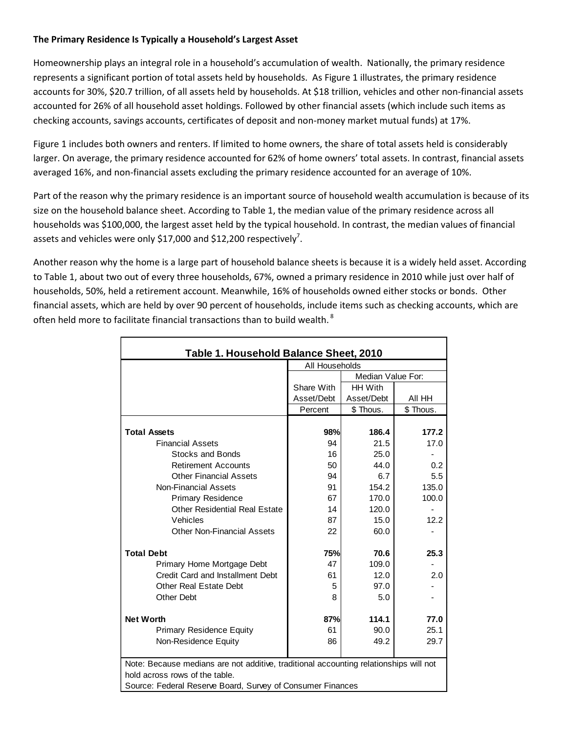## **The Primary Residence Is Typically a Household's Largest Asset**

Homeownership plays an integral role in a household's accumulation of wealth. Nationally, the primary residence represents a significant portion of total assets held by households. As Figure 1 illustrates, the primary residence accounts for 30%, \$20.7 trillion, of all assets held by households. At \$18 trillion, vehicles and other non-financial assets accounted for 26% of all household asset holdings. Followed by other financial assets (which include such items as checking accounts, savings accounts, certificates of deposit and non-money market mutual funds) at 17%.

Figure 1 includes both owners and renters. If limited to home owners, the share of total assets held is considerably larger. On average, the primary residence accounted for 62% of home owners' total assets. In contrast, financial assets averaged 16%, and non-financial assets excluding the primary residence accounted for an average of 10%.

Part of the reason why the primary residence is an important source of household wealth accumulation is because of its size on the household balance sheet. According to Table 1, the median value of the primary residence across all households was \$100,000, the largest asset held by the typical household. In contrast, the median values of financial assets and vehicles were only \$17,000 and \$12,200 respectively<sup>7</sup>.

Another reason why the home is a large part of household balance sheets is because it is a widely held asset. According to Table 1, about two out of every three households, 67%, owned a primary residence in 2010 while just over half of households, 50%, held a retirement account. Meanwhile, 16% of households owned either stocks or bonds. Other financial assets, which are held by over 90 percent of households, include items such as checking accounts, which are often held more to facilitate financial transactions than to build wealth.<sup>8</sup>

| Table 1. Household Balance Sheet, 2010                                                |                |                   |           |  |
|---------------------------------------------------------------------------------------|----------------|-------------------|-----------|--|
|                                                                                       | All Households |                   |           |  |
|                                                                                       |                | Median Value For: |           |  |
|                                                                                       | Share With     | <b>HH With</b>    |           |  |
|                                                                                       | Asset/Debt     | Asset/Debt        | AII HH    |  |
|                                                                                       | Percent        | \$ Thous.         | \$ Thous. |  |
|                                                                                       |                |                   |           |  |
| <b>Total Assets</b>                                                                   | 98%            | 186.4             | 177.2     |  |
| <b>Financial Assets</b>                                                               | 94             | 21.5              | 17.0      |  |
| Stocks and Bonds                                                                      | 16             | 25.0              |           |  |
| <b>Retirement Accounts</b>                                                            | 50             | 44.0              | 0.2       |  |
| <b>Other Financial Assets</b>                                                         | 94             | 6.7               | 5.5       |  |
| Non-Financial Assets                                                                  | 91             | 154.2             | 135.0     |  |
| <b>Primary Residence</b>                                                              | 67             | 170.0             | 100.0     |  |
| <b>Other Residential Real Estate</b>                                                  | 14             | 120.0             |           |  |
| Vehicles                                                                              | 87             | 15.0              | 12.2      |  |
| <b>Other Non-Financial Assets</b>                                                     | 22             | 60.0              |           |  |
| <b>Total Debt</b>                                                                     | 75%            | 70.6              | 25.3      |  |
| Primary Home Mortgage Debt                                                            | 47             | 109.0             |           |  |
| Credit Card and Installment Debt                                                      | 61             | 12.0              | 2.0       |  |
| Other Real Estate Debt                                                                | 5              | 97.0              |           |  |
| Other Debt                                                                            | 8              | 5.0               |           |  |
|                                                                                       |                |                   |           |  |
| <b>Net Worth</b>                                                                      | 87%<br>114.1   |                   | 77.0      |  |
| <b>Primary Residence Equity</b>                                                       | 61             | 90.0              | 25.1      |  |
| Non-Residence Equity                                                                  | 86             | 49.2              | 29.7      |  |
|                                                                                       |                |                   |           |  |
| Note: Because medians are not additive, traditional accounting relationships will not |                |                   |           |  |
| hold across rows of the table.                                                        |                |                   |           |  |
| Source: Federal Reserve Board, Survey of Consumer Finances                            |                |                   |           |  |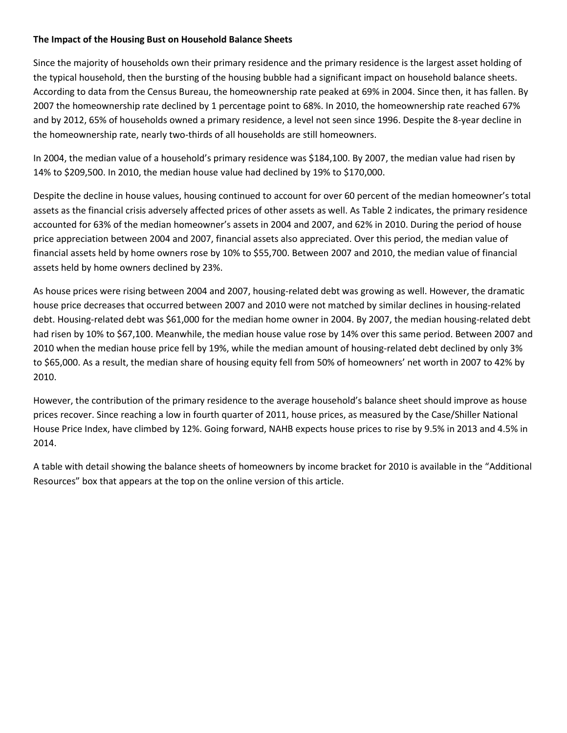### **The Impact of the Housing Bust on Household Balance Sheets**

Since the majority of households own their primary residence and the primary residence is the largest asset holding of the typical household, then the bursting of the housing bubble had a significant impact on household balance sheets. According to data from the Census Bureau, the homeownership rate peaked at 69% in 2004. Since then, it has fallen. By 2007 the homeownership rate declined by 1 percentage point to 68%. In 2010, the homeownership rate reached 67% and by 2012, 65% of households owned a primary residence, a level not seen since 1996. Despite the 8-year decline in the homeownership rate, nearly two-thirds of all households are still homeowners.

In 2004, the median value of a household's primary residence was \$184,100. By 2007, the median value had risen by 14% to \$209,500. In 2010, the median house value had declined by 19% to \$170,000.

Despite the decline in house values, housing continued to account for over 60 percent of the median homeowner's total assets as the financial crisis adversely affected prices of other assets as well. As Table 2 indicates, the primary residence accounted for 63% of the median homeowner's assets in 2004 and 2007, and 62% in 2010. During the period of house price appreciation between 2004 and 2007, financial assets also appreciated. Over this period, the median value of financial assets held by home owners rose by 10% to \$55,700. Between 2007 and 2010, the median value of financial assets held by home owners declined by 23%.

As house prices were rising between 2004 and 2007, housing-related debt was growing as well. However, the dramatic house price decreases that occurred between 2007 and 2010 were not matched by similar declines in housing-related debt. Housing-related debt was \$61,000 for the median home owner in 2004. By 2007, the median housing-related debt had risen by 10% to \$67,100. Meanwhile, the median house value rose by 14% over this same period. Between 2007 and 2010 when the median house price fell by 19%, while the median amount of housing-related debt declined by only 3% to \$65,000. As a result, the median share of housing equity fell from 50% of homeowners' net worth in 2007 to 42% by 2010.

However, the contribution of the primary residence to the average household's balance sheet should improve as house prices recover. Since reaching a low in fourth quarter of 2011, house prices, as measured by the Case/Shiller National House Price Index, have climbed by 12%. Going forward, NAHB expects house prices to rise by 9.5% in 2013 and 4.5% in 2014.

A table with detail showing the balance sheets of homeowners by income bracket for 2010 is available in the "Additional Resources" box that appears at the top on the online version of this article.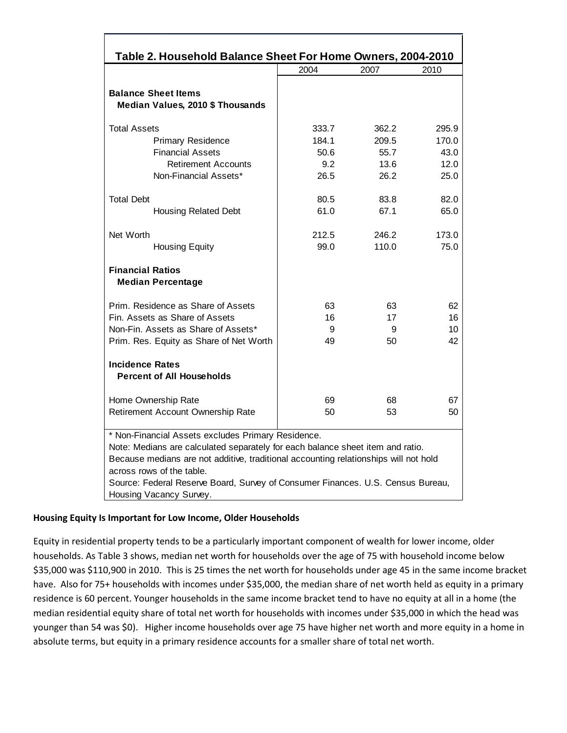| Table 2. Household Balance Sheet For Home Owners, 2004-2010                                                                                                                                                                                                                                                                                                             |                                               |                                                |                                                |  |  |
|-------------------------------------------------------------------------------------------------------------------------------------------------------------------------------------------------------------------------------------------------------------------------------------------------------------------------------------------------------------------------|-----------------------------------------------|------------------------------------------------|------------------------------------------------|--|--|
|                                                                                                                                                                                                                                                                                                                                                                         | 2004                                          | 2007                                           | 2010                                           |  |  |
| <b>Balance Sheet Items</b><br>Median Values, 2010 \$ Thousands                                                                                                                                                                                                                                                                                                          |                                               |                                                |                                                |  |  |
| <b>Total Assets</b><br><b>Primary Residence</b><br><b>Financial Assets</b><br><b>Retirement Accounts</b><br>Non-Financial Assets*<br><b>Total Debt</b>                                                                                                                                                                                                                  | 333.7<br>184.1<br>50.6<br>9.2<br>26.5<br>80.5 | 362.2<br>209.5<br>55.7<br>13.6<br>26.2<br>83.8 | 295.9<br>170.0<br>43.0<br>12.0<br>25.0<br>82.0 |  |  |
| <b>Housing Related Debt</b><br>Net Worth<br><b>Housing Equity</b>                                                                                                                                                                                                                                                                                                       | 61.0<br>212.5<br>99.0                         | 67.1<br>246.2<br>110.0                         | 65.0<br>173.0<br>75.0                          |  |  |
| <b>Financial Ratios</b><br><b>Median Percentage</b>                                                                                                                                                                                                                                                                                                                     |                                               |                                                |                                                |  |  |
| Prim. Residence as Share of Assets<br>Fin. Assets as Share of Assets<br>Non-Fin. Assets as Share of Assets*<br>Prim. Res. Equity as Share of Net Worth                                                                                                                                                                                                                  | 63<br>16<br>9<br>49                           | 63<br>17<br>9<br>50                            | 62<br>16<br>10<br>42                           |  |  |
| <b>Incidence Rates</b><br><b>Percent of All Households</b>                                                                                                                                                                                                                                                                                                              |                                               |                                                |                                                |  |  |
| Home Ownership Rate<br>Retirement Account Ownership Rate                                                                                                                                                                                                                                                                                                                | 69<br>50                                      | 68<br>53                                       | 67<br>50                                       |  |  |
| * Non-Financial Assets excludes Primary Residence.<br>Note: Medians are calculated separately for each balance sheet item and ratio.<br>Because medians are not additive, traditional accounting relationships will not hold<br>across rows of the table.<br>Source: Federal Reserve Board, Survey of Consumer Finances. U.S. Census Bureau,<br>Housing Vacancy Survey. |                                               |                                                |                                                |  |  |

## **Housing Equity Is Important for Low Income, Older Households**

Equity in residential property tends to be a particularly important component of wealth for lower income, older households. As Table 3 shows, median net worth for households over the age of 75 with household income below \$35,000 was \$110,900 in 2010. This is 25 times the net worth for households under age 45 in the same income bracket have. Also for 75+ households with incomes under \$35,000, the median share of net worth held as equity in a primary residence is 60 percent. Younger households in the same income bracket tend to have no equity at all in a home (the median residential equity share of total net worth for households with incomes under \$35,000 in which the head was younger than 54 was \$0). Higher income households over age 75 have higher net worth and more equity in a home in absolute terms, but equity in a primary residence accounts for a smaller share of total net worth.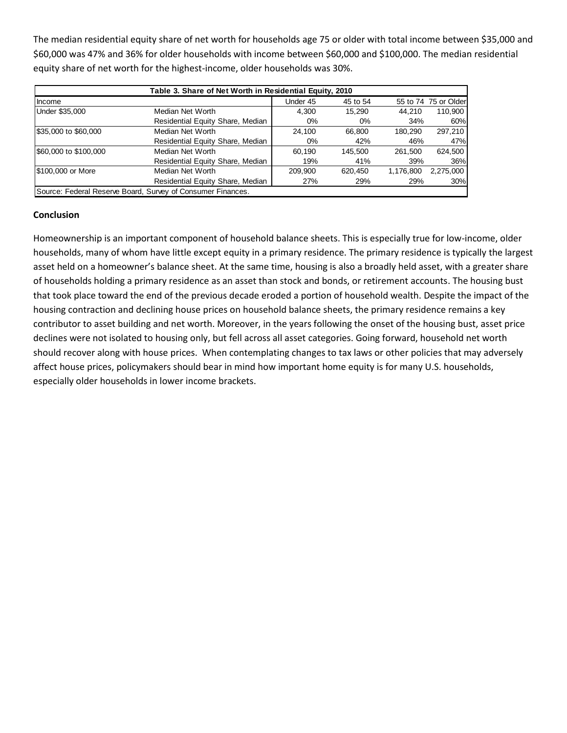The median residential equity share of net worth for households age 75 or older with total income between \$35,000 and \$60,000 was 47% and 36% for older households with income between \$60,000 and \$100,000. The median residential equity share of net worth for the highest-income, older households was 30%.

| Table 3. Share of Net Worth in Residential Equity, 2010 |                                                             |          |          |           |                      |
|---------------------------------------------------------|-------------------------------------------------------------|----------|----------|-----------|----------------------|
| Income                                                  |                                                             | Under 45 | 45 to 54 |           | 55 to 74 75 or Older |
| Under \$35,000                                          | Median Net Worth                                            | 4.300    | 15.290   | 44.210    | 110,900              |
|                                                         | Residential Equity Share, Median                            | $0\%$    | 0%       | 34%       | 60%                  |
| \$35,000 to \$60,000                                    | Median Net Worth                                            | 24.100   | 66.800   | 180.290   | 297,210              |
|                                                         | Residential Equity Share, Median                            | 0%       | 42%      | 46%       | 47%                  |
| \$60,000 to \$100,000                                   | Median Net Worth                                            | 60.190   | 145.500  | 261.500   | 624.500              |
|                                                         | Residential Equity Share, Median                            | 19%      | 41%      | 39%       | 36%                  |
| \$100,000 or More                                       | Median Net Worth                                            | 209.900  | 620.450  | 1,176,800 | 2,275,000            |
|                                                         | Residential Equity Share, Median                            | 27%      | 29%      | 29%       | 30%                  |
|                                                         | Source: Federal Reserve Board, Survey of Consumer Finances. |          |          |           |                      |

### **Conclusion**

Homeownership is an important component of household balance sheets. This is especially true for low-income, older households, many of whom have little except equity in a primary residence. The primary residence is typically the largest asset held on a homeowner's balance sheet. At the same time, housing is also a broadly held asset, with a greater share of households holding a primary residence as an asset than stock and bonds, or retirement accounts. The housing bust that took place toward the end of the previous decade eroded a portion of household wealth. Despite the impact of the housing contraction and declining house prices on household balance sheets, the primary residence remains a key contributor to asset building and net worth. Moreover, in the years following the onset of the housing bust, asset price declines were not isolated to housing only, but fell across all asset categories. Going forward, household net worth should recover along with house prices. When contemplating changes to tax laws or other policies that may adversely affect house prices, policymakers should bear in mind how important home equity is for many U.S. households, especially older households in lower income brackets.